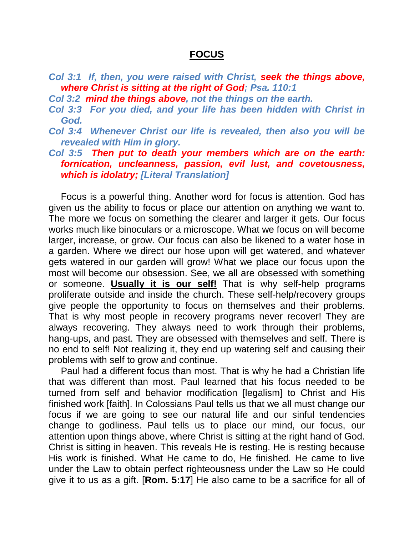## **FOCUS**

- *Col 3:1 If, then, you were raised with Christ, seek the things above, where Christ is sitting at the right of God; Psa. 110:1*
- *Col 3:2 mind the things above, not the things on the earth.*
- *Col 3:3 For you died, and your life has been hidden with Christ in God.*
- *Col 3:4 Whenever Christ our life is revealed, then also you will be revealed with Him in glory.*
- *Col 3:5 Then put to death your members which are on the earth: fornication, uncleanness, passion, evil lust, and covetousness, which is idolatry; [Literal Translation]*

Focus is a powerful thing. Another word for focus is attention. God has given us the ability to focus or place our attention on anything we want to. The more we focus on something the clearer and larger it gets. Our focus works much like binoculars or a microscope. What we focus on will become larger, increase, or grow. Our focus can also be likened to a water hose in a garden. Where we direct our hose upon will get watered, and whatever gets watered in our garden will grow! What we place our focus upon the most will become our obsession. See, we all are obsessed with something or someone. **Usually it is our self!** That is why self-help programs proliferate outside and inside the church. These self-help/recovery groups give people the opportunity to focus on themselves and their problems. That is why most people in recovery programs never recover! They are always recovering. They always need to work through their problems, hang-ups, and past. They are obsessed with themselves and self. There is no end to self! Not realizing it, they end up watering self and causing their problems with self to grow and continue.

Paul had a different focus than most. That is why he had a Christian life that was different than most. Paul learned that his focus needed to be turned from self and behavior modification [legalism] to Christ and His finished work [faith]. In Colossians Paul tells us that we all must change our focus if we are going to see our natural life and our sinful tendencies change to godliness. Paul tells us to place our mind, our focus, our attention upon things above, where Christ is sitting at the right hand of God. Christ is sitting in heaven. This reveals He is resting. He is resting because His work is finished. What He came to do, He finished. He came to live under the Law to obtain perfect righteousness under the Law so He could give it to us as a gift. [**Rom. 5:17**] He also came to be a sacrifice for all of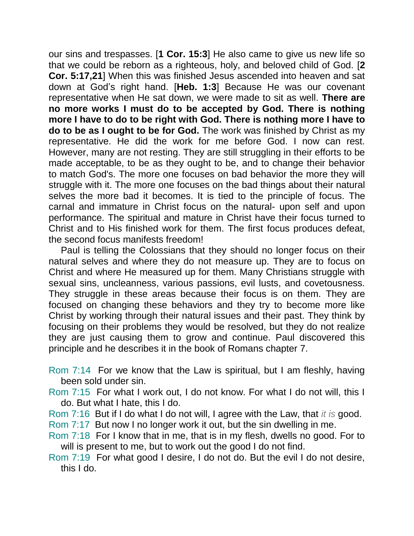our sins and trespasses. [**1 Cor. 15:3**] He also came to give us new life so that we could be reborn as a righteous, holy, and beloved child of God. [**2 Cor. 5:17,21**] When this was finished Jesus ascended into heaven and sat down at God's right hand. [**Heb. 1:3**] Because He was our covenant representative when He sat down, we were made to sit as well. **There are no more works I must do to be accepted by God. There is nothing more I have to do to be right with God. There is nothing more I have to do to be as I ought to be for God.** The work was finished by Christ as my representative. He did the work for me before God. I now can rest. However, many are not resting. They are still struggling in their efforts to be made acceptable, to be as they ought to be, and to change their behavior to match God's. The more one focuses on bad behavior the more they will struggle with it. The more one focuses on the bad things about their natural selves the more bad it becomes. It is tied to the principle of focus. The carnal and immature in Christ focus on the natural- upon self and upon performance. The spiritual and mature in Christ have their focus turned to Christ and to His finished work for them. The first focus produces defeat, the second focus manifests freedom!

Paul is telling the Colossians that they should no longer focus on their natural selves and where they do not measure up. They are to focus on Christ and where He measured up for them. Many Christians struggle with sexual sins, uncleanness, various passions, evil lusts, and covetousness. They struggle in these areas because their focus is on them. They are focused on changing these behaviors and they try to become more like Christ by working through their natural issues and their past. They think by focusing on their problems they would be resolved, but they do not realize they are just causing them to grow and continue. Paul discovered this principle and he describes it in the book of Romans chapter 7.

- Rom 7:14 For we know that the Law is spiritual, but I am fleshly, having been sold under sin.
- Rom 7:15 For what I work out, I do not know. For what I do not will, this I do. But what I hate, this I do.
- Rom 7:16 But if I do what I do not will, I agree with the Law, that *it is* good.
- Rom 7:17 But now I no longer work it out, but the sin dwelling in me.
- Rom 7:18 For I know that in me, that is in my flesh, dwells no good. For to will is present to me, but to work out the good I do not find.
- Rom 7:19 For what good I desire, I do not do. But the evil I do not desire, this I do.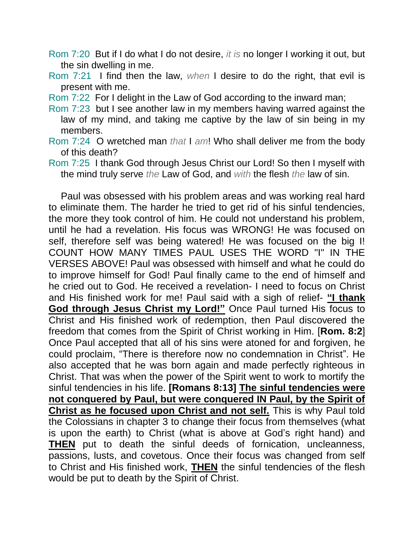- Rom 7:20 But if I do what I do not desire, *it is* no longer I working it out, but the sin dwelling in me.
- Rom 7:21 I find then the law, *when* I desire to do the right, that evil is present with me.
- Rom 7:22 For I delight in the Law of God according to the inward man;
- Rom 7:23 but I see another law in my members having warred against the law of my mind, and taking me captive by the law of sin being in my members.
- Rom 7:24 O wretched man *that* I *am*! Who shall deliver me from the body of this death?
- Rom 7:25 I thank God through Jesus Christ our Lord! So then I myself with the mind truly serve *the* Law of God, and *with* the flesh *the* law of sin.

Paul was obsessed with his problem areas and was working real hard to eliminate them. The harder he tried to get rid of his sinful tendencies, the more they took control of him. He could not understand his problem, until he had a revelation. His focus was WRONG! He was focused on self, therefore self was being watered! He was focused on the big I! COUNT HOW MANY TIMES PAUL USES THE WORD "I" IN THE VERSES ABOVE! Paul was obsessed with himself and what he could do to improve himself for God! Paul finally came to the end of himself and he cried out to God. He received a revelation- I need to focus on Christ and His finished work for me! Paul said with a sigh of relief- **"I thank God through Jesus Christ my Lord!"** Once Paul turned His focus to Christ and His finished work of redemption, then Paul discovered the freedom that comes from the Spirit of Christ working in Him. [**Rom. 8:2**] Once Paul accepted that all of his sins were atoned for and forgiven, he could proclaim, "There is therefore now no condemnation in Christ". He also accepted that he was born again and made perfectly righteous in Christ. That was when the power of the Spirit went to work to mortify the sinful tendencies in his life. **[Romans 8:13] The sinful tendencies were not conquered by Paul, but were conquered IN Paul, by the Spirit of Christ as he focused upon Christ and not self.** This is why Paul told the Colossians in chapter 3 to change their focus from themselves (what is upon the earth) to Christ (what is above at God's right hand) and **THEN** put to death the sinful deeds of fornication, uncleanness, passions, lusts, and covetous. Once their focus was changed from self to Christ and His finished work, **THEN** the sinful tendencies of the flesh would be put to death by the Spirit of Christ.